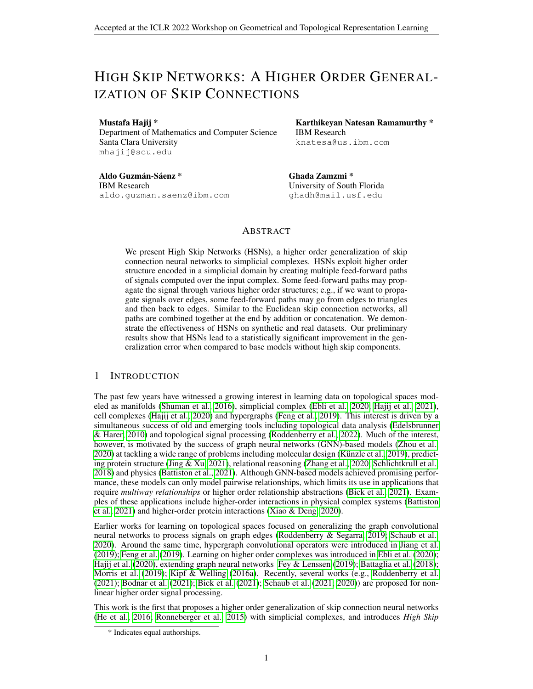# HIGH SKIP NETWORKS: A HIGHER ORDER GENERAL-IZATION OF SKIP CONNECTIONS

#### Mustafa Hajij \*

Department of Mathematics and Computer Science Santa Clara University mhajij@scu.edu

Aldo Guzmán-Sáenz \* IBM Research aldo.guzman.saenz@ibm.com

Karthikeyan Natesan Ramamurthy \* IBM Research knatesa@us.ibm.com

Ghada Zamzmi \* University of South Florida ghadh@mail.usf.edu

# ABSTRACT

We present High Skip Networks (HSNs), a higher order generalization of skip connection neural networks to simplicial complexes. HSNs exploit higher order structure encoded in a simplicial domain by creating multiple feed-forward paths of signals computed over the input complex. Some feed-forward paths may propagate the signal through various higher order structures; e.g., if we want to propagate signals over edges, some feed-forward paths may go from edges to triangles and then back to edges. Similar to the Euclidean skip connection networks, all paths are combined together at the end by addition or concatenation. We demonstrate the effectiveness of HSNs on synthetic and real datasets. Our preliminary results show that HSNs lead to a statistically significant improvement in the generalization error when compared to base models without high skip components.

# 1 INTRODUCTION

The past few years have witnessed a growing interest in learning data on topological spaces modeled as manifolds [\(Shuman et al., 2016\)](#page-6-0), simplicial complex [\(Ebli et al., 2020;](#page-5-0) [Hajij et al., 2021\)](#page-5-1), cell complexes [\(Hajij et al., 2020\)](#page-5-2) and hypergraphs [\(Feng et al., 2019\)](#page-5-3). This interest is driven by a simultaneous success of old and emerging tools including topological data analysis [\(Edelsbrunner](#page-5-4) [& Harer, 2010\)](#page-5-4) and topological signal processing [\(Roddenberry et al., 2022\)](#page-6-1). Much of the interest, however, is motivated by the success of graph neural networks (GNN)-based models [\(Zhou et al.,](#page-6-2) [2020\)](#page-6-2) at tackling a wide range of problems including molecular design (Künzle et al., 2019), predicting protein structure [\(Jing & Xu, 2021\)](#page-5-5), relational reasoning [\(Zhang et al., 2020;](#page-6-4) [Schlichtkrull et al.,](#page-6-5) [2018\)](#page-6-5) and physics [\(Battiston et al., 2021\)](#page-5-6). Although GNN-based models achieved promising performance, these models can only model pairwise relationships, which limits its use in applications that require *multiway relationships* or higher order relationship abstractions [\(Bick et al., 2021\)](#page-5-7). Examples of these applications include higher-order interactions in physical complex systems [\(Battiston](#page-5-6) [et al., 2021\)](#page-5-6) and higher-order protein interactions [\(Xiao & Deng, 2020\)](#page-6-6).

Earlier works for learning on topological spaces focused on generalizing the graph convolutional neural networks to process signals on graph edges [\(Roddenberry & Segarra, 2019;](#page-6-7) [Schaub et al.,](#page-6-8) [2020\)](#page-6-8). Around the same time, hypergraph convolutional operators were introduced in [Jiang et al.](#page-5-8) [\(2019\)](#page-5-8); [Feng et al.](#page-5-3) [\(2019\)](#page-5-3). Learning on higher order complexes was introduced in [Ebli et al.](#page-5-0) [\(2020\)](#page-5-0); [Hajij et al.](#page-5-2) [\(2020\)](#page-5-2), extending graph neural networks [Fey & Lenssen](#page-5-9) [\(2019\)](#page-5-9); [Battaglia et al.](#page-5-10) [\(2018\)](#page-5-10); [Morris et al.](#page-6-9) [\(2019\)](#page-6-9); [Kipf & Welling](#page-5-11) [\(2016a\)](#page-5-11). Recently, several works (e.g., [Roddenberry et al.](#page-6-10) [\(2021\)](#page-6-10); [Bodnar et al.](#page-5-12) [\(2021\)](#page-5-12); [Bick et al.](#page-5-7) [\(2021\)](#page-5-7); [Schaub et al.](#page-6-11) [\(2021;](#page-6-11) [2020\)](#page-6-8)) are proposed for nonlinear higher order signal processing.

This work is the first that proposes a higher order generalization of skip connection neural networks [\(He et al., 2016;](#page-5-13) [Ronneberger et al., 2015\)](#page-6-12) with simplicial complexes, and introduces *High Skip*

<sup>\*</sup> Indicates equal authorships.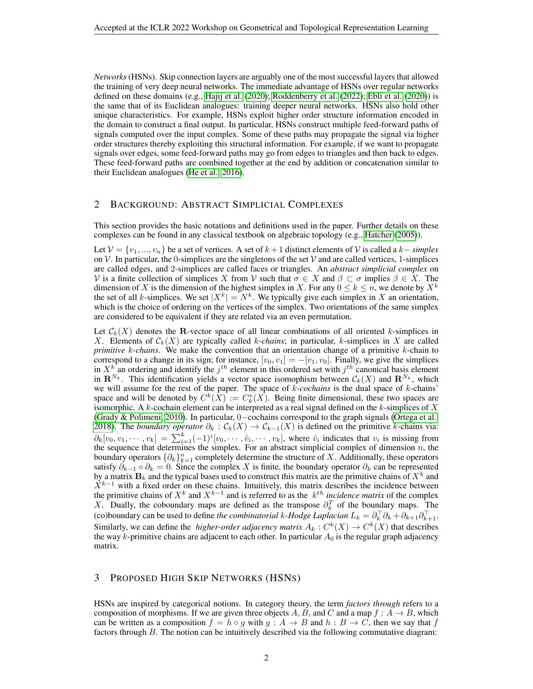*Networks*(HSNs). Skip connection layers are arguably one of the most successful layers that allowed the training of very deep neural networks. The immediate advantage of HSNs over regular networks defined on these domains (e.g., [Hajij et al.](#page-5-2) [\(2020\)](#page-5-2); [Roddenberry et al.](#page-6-1) [\(2022\)](#page-6-1); [Ebli et al.](#page-5-0) [\(2020\)](#page-5-0)) is the same that of its Euclidean analogues: training deeper neural networks. HSNs also hold other unique characteristics. For example, HSNs exploit higher order structure information encoded in the domain to construct a final output. In particular, HSNs construct multiple feed-forward paths of signals computed over the input complex. Some of these paths may propagate the signal via higher order structures thereby exploiting this structural information. For example, if we want to propagate signals over edges, some feed-forward paths may go from edges to triangles and then back to edges. These feed-forward paths are combined together at the end by addition or concatenation similar to their Euclidean analogues [\(He et al., 2016\)](#page-5-13).

#### <span id="page-1-0"></span>2 BACKGROUND: ABSTRACT SIMPLICIAL COMPLEXES

This section provides the basic notations and definitions used in the paper. Further details on these complexes can be found in any classical textbook on algebraic topology (e.g., [Hatcher](#page-5-14) [\(2005\)](#page-5-14)).

Let  $V = \{v_1, ..., v_n\}$  be a set of vertices. A set of  $k + 1$  distinct elements of V is called a  $k$ − *simplex* on V. In particular, the 0-simplices are the singletons of the set V and are called vertices, 1-simplices are called edges, and 2-simplices are called faces or triangles. An *abstract simplicial complex* on V is a finite collection of simplices X from V such that  $\sigma \in X$  and  $\beta \subset \sigma$  implies  $\beta \in X$ . The dimension of X is the dimension of the highest simplex in X. For any  $0 \le k \le n$ , we denote by  $X^k$ the set of all k-simplices. We set  $|X^k| = N^k$ . We typically give each simplex in X an orientation, which is the choice of ordering on the vertices of the simplex. Two orientations of the same simplex are considered to be equivalent if they are related via an even permutation.

Let  $\mathcal{C}_k(X)$  denotes the R-vector space of all linear combinations of all oriented k-simplices in X. Elements of  $\mathcal{C}_k(X)$  are typically called k-*chains*; in particular, k-simplices in X are called *primitive* k*-chains*. We make the convention that an orientation change of a primitive k-chain to correspond to a change in its sign; for instance,  $[v_0, v_1] = -[v_1, v_0]$ . Finally, we give the simplices in  $X^k$  an ordering and identify the  $j^{th}$  element in this ordered set with  $j^{th}$  canonical basis element in  $\mathbf{R}^{N_k}$ . This identification yields a vector space isomophism between  $\mathcal{C}_k(X)$  and  $\mathbf{R}^{N_k}$ , which we will assume for the rest of the paper. The space of k-*cochains* is the dual space of k-chains' space and will be denoted by  $C^k(X) := C_k^*(X)$ . Being finite dimensional, these two spaces are isomorphic. A k-cochain element can be interpreted as a real signal defined on the k-simplices of  $X$ [\(Grady & Polimeni, 2010\)](#page-5-15). In particular, 0−cochains correspond to the graph signals [\(Ortega et al.,](#page-6-13) [2018\)](#page-6-13). The *boundary operator*  $\partial_k : C_k(X) \to C_{k-1}(X)$  is defined on the primitive k-chains via:  $\partial_k[v_0, v_1, \dots, v_k] = \sum_{i=1}^k (-1)^i [v_0, \dots, \hat{v}_i, \dots, v_k]$ , where  $\hat{v}_i$  indicates that  $v_i$  is missing from the sequence that determines the simplex. For an abstract simplicial complex of dimension  $n$ , the boundary operators  $\{\partial_k\}_{k=1}^n$  completely determine the structure of X. Additionally, these operators satisfy  $\partial_{k-1} \circ \partial_k = 0$ . Since the complex X is finite, the boundary operator  $\partial_k$  can be represented by a matrix  $\mathbf{B}_k$  and the typical bases used to construct this matrix are the primitive chains of  $X^k$  and  $\dot{X}^{k-1}$  with a fixed order on these chains. Intuitively, this matrix describes the incidence between the primitive chains of  $X^k$  and  $X^{k-1}$  and is referred to as the  $k^{th}$  *incidence matrix* of the complex X. Dually, the coboundary maps are defined as the transpose  $\partial_k^T$  of the boundary maps. The (co)boundary can be used to define *the combinatorial k-Hodge Laplacian*  $L_k = \partial_k^\top \partial_k + \partial_{k+1} \partial_{k+1}^\top$ . Similarly, we can define the *higher-order adjacency matrix*  $A_k : C^k(X) \to C^k(X)$  that describes the way k-primitive chains are adjacent to each other. In particular  $A_0$  is the regular graph adjacency matrix.

## 3 PROPOSED HIGH SKIP NETWORKS (HSNS)

HSNs are inspired by categorical notions. In category theory, the term *factors through* refers to a composition of morphisms. If we are given three objects A, B, and C and a map  $f: A \rightarrow B$ , which can be written as a composition  $f = h \circ g$  with  $g : A \to B$  and  $h : B \to C$ , then we say that f factors through B. The notion can be intuitively described via the following commutative diagram: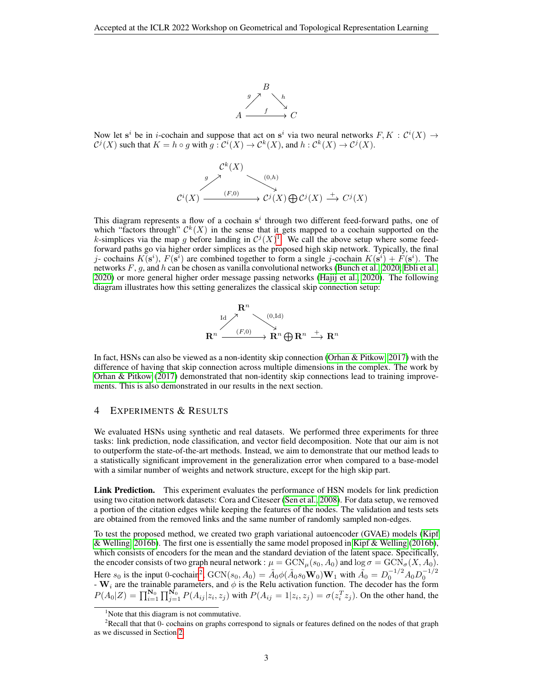

Now let s<sup>i</sup> be in *i*-cochain and suppose that act on s<sup>i</sup> via two neural networks  $F, K : \mathcal{C}^i(X) \to$  $\mathcal{C}^{j}(X)$  such that  $K = h \circ g$  with  $g: \mathcal{C}^{i}(X) \to \mathcal{C}^{k}(X)$ , and  $h: \mathcal{C}^{k}(X) \to \mathcal{C}^{j}(X)$ .

$$
\begin{array}{ccc}\n\mathcal{C}^k(X) & & \\
\downarrow^{g} & & \\
\mathcal{C}^i(X) & \xrightarrow{(F,0)} & \mathcal{C}^j(X) \oplus \mathcal{C}^j(X) \xrightarrow{+} C^j(X)\n\end{array}
$$

This diagram represents a flow of a cochain  $s^i$  through two different feed-forward paths, one of which "factors through"  $\mathcal{C}^k(X)$  in the sense that it gets mapped to a cochain supported on the k-simplices via the map g before landing in  $\mathcal{C}^{j}(X)^{1}$  $\mathcal{C}^{j}(X)^{1}$  $\mathcal{C}^{j}(X)^{1}$ . We call the above setup where some feedforward paths go via higher order simplices as the proposed high skip network. Typically, the final j- cochains  $K(s^i)$ ,  $F(s^i)$  are combined together to form a single j-cochain  $K(s^i) + F(s^i)$ . The networks  $F$ , g, and h can be chosen as vanilla convolutional networks [\(Bunch et al., 2020;](#page-5-16) [Ebli et al.,](#page-5-0) [2020\)](#page-5-0) or more general higher order message passing networks [\(Hajij et al., 2020\)](#page-5-2). The following diagram illustrates how this setting generalizes the classical skip connection setup:



In fact, HSNs can also be viewed as a non-identity skip connection [\(Orhan & Pitkow, 2017\)](#page-6-14) with the difference of having that skip connection across multiple dimensions in the complex. The work by [Orhan & Pitkow](#page-6-14) [\(2017\)](#page-6-14) demonstrated that non-identity skip connections lead to training improvements. This is also demonstrated in our results in the next section.

### 4 EXPERIMENTS & RESULTS

We evaluated HSNs using synthetic and real datasets. We performed three experiments for three tasks: link prediction, node classification, and vector field decomposition. Note that our aim is not to outperform the state-of-the-art methods. Instead, we aim to demonstrate that our method leads to a statistically significant improvement in the generalization error when compared to a base-model with a similar number of weights and network structure, except for the high skip part.

Link Prediction. This experiment evaluates the performance of HSN models for link prediction using two citation network datasets: Cora and Citeseer [\(Sen et al., 2008\)](#page-6-15). For data setup, we removed a portion of the citation edges while keeping the features of the nodes. The validation and tests sets are obtained from the removed links and the same number of randomly sampled non-edges.

To test the proposed method, we created two graph variational autoencoder (GVAE) models [\(Kipf](#page-5-17) [& Welling, 2016b\)](#page-5-17). The first one is essentially the same model proposed in [Kipf & Welling](#page-5-17) [\(2016b\)](#page-5-17), which consists of encoders for the mean and the standard deviation of the latent space. Specifically, the encoder consists of two graph neural network :  $\mu = \text{GCN}_{\mu}(s_0, A_0)$  and  $\log \sigma = \text{GCN}_{\sigma}(X, A_0)$ . Here  $s_0$  is the input 0-cochain<sup>[2](#page-2-1)</sup>,  $GCN(s_0, A_0) = \tilde{A}_0 \phi(\tilde{A}_0 s_0 \mathbf{W}_0) \mathbf{W}_1$  with  $\tilde{A}_0 = D_0^{-1/2} A_0 D_0^{-1/2}$ <br>-  $\mathbf{W}_i$  are the trainable parameters, and  $\phi$  is the Relu activation function. The decoder has  $P(A_0|Z) = \prod_{i=1}^{N_0} \prod_{j=1}^{N_0} P(A_{ij}|z_i, z_j)$  with  $P(A_{ij} = 1|z_i, z_j) = \sigma(z_i^T z_j)$ . On the other hand, the

<span id="page-2-1"></span><span id="page-2-0"></span> $<sup>1</sup>$ Note that this diagram is not commutative.</sup>

<sup>&</sup>lt;sup>2</sup>Recall that that 0- cochains on graphs correspond to signals or features defined on the nodes of that graph as we discussed in Section [2.](#page-1-0)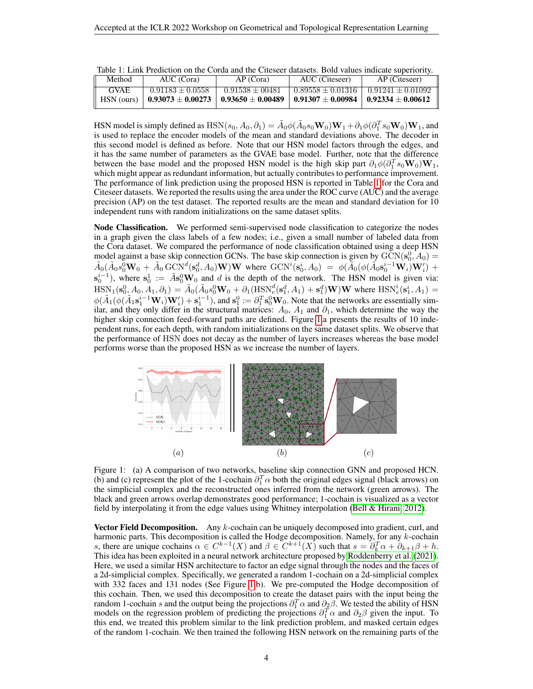<span id="page-3-0"></span>

| Table 1: Link Prediction on the Corda and the Citeseer datasets. Bold values indicate superiority. |
|----------------------------------------------------------------------------------------------------|
|----------------------------------------------------------------------------------------------------|

| Method      | AUC (Cora)            | AP (Cora)             | AUC (Citeseer)        | AP (Citeseer)       |
|-------------|-----------------------|-----------------------|-----------------------|---------------------|
| <b>GVAE</b> | $0.91183 + 0.0558$    | $0.91538 \pm 00481$   | $0.89558 + 0.01316$   | $0.91241 + 0.01092$ |
| HSN (ours)  | $0.93073 \pm 0.00273$ | $0.93650 \pm 0.00489$ | $0.91307 \pm 0.00984$ | $0.92334 + 0.00612$ |

HSN model is simply defined as  $\text{HSN}(s_0, A_0, \partial_1) = \tilde{A}_0 \phi(\tilde{A}_0 s_0 \mathbf{W}_0) \mathbf{W}_1 + \partial_1 \phi(\partial_1^T s_0 \mathbf{W}_0) \mathbf{W}_1$ , and is used to replace the encoder models of the mean and standard deviations above. The decoder in this second model is defined as before. Note that our HSN model factors through the edges, and it has the same number of parameters as the GVAE base model. Further, note that the difference between the base model and the proposed HSN model is the high skip part  $\partial_1\phi(\partial_1^T s_0 \mathbf{W}_0) \mathbf{W}_1$ , which might appear as redundant information, but actually contributes to performance improvement. The performance of link prediction using the proposed HSN is reported in Table [1](#page-3-0) for the Cora and Citeseer datasets. We reported the results using the area under the ROC curve (AUC) and the average precision (AP) on the test dataset. The reported results are the mean and standard deviation for 10 independent runs with random initializations on the same dataset splits.

Node Classification. We performed semi-supervised node classification to categorize the nodes in a graph given the class labels of a few nodes; i.e., given a small number of labeled data from the Cora dataset. We compared the performance of node classification obtained using a deep HSN model against a base skip connection GCNs. The base skip connection is given by  $\text{GCN}(s_0^0, A_0) =$  $\tilde{A}_0(\tilde{A}_0s_0^0\mathbf{W}_0 + \tilde{A}_0\,\text{GCN}^d(\mathbf{s}_0^d,A_0)\mathbf{W})\mathbf{W}$  where  $\text{GCN}^i(\mathbf{s}_0^i,A_0) = \phi(\tilde{A}_0(\phi(\tilde{A}_0\mathbf{s}_0^{i-1}\mathbf{W}_i)\mathbf{W}_i') +$  $\mathbf{s}_0^{i-1}$ ), where  $\mathbf{s}_0^1 := \tilde{A} \mathbf{s}_0^0 \mathbf{W}_0$  and d is the depth of the network. The HSN model is given via:  $\text{HSN}_1(\mathbf{s}_0^0, A_0, A_1, \partial_1) = \tilde{A}_0(\tilde{A}_0 s_0^0 \mathbf{W}_0 + \partial_1(\text{HSN}_e^d(\mathbf{s}_1^d, A_1) + \mathbf{s}_1^d)\mathbf{W})\mathbf{W}$  where  $\text{HSN}_e^i(\mathbf{s}_1^i, A_1) =$  $\phi(\tilde{A}_1(\phi(\tilde{A}_1\mathbf{s}_1^{i-1}\mathbf{W}_i)\mathbf{W}_i') + \mathbf{s}_1^{i-1})$ , and  $\mathbf{s}_1^0 := \partial_1^T \mathbf{s}_0^0 \mathbf{W}_0$ . Note that the networks are essentially similar, and they only differ in the structural matrices:  $A_0$ ,  $A_1$  and  $\partial_1$ , which determine the way the higher skip connection feed-forward paths are defined. Figure [1.](#page-3-1)a presents the results of 10 independent runs, for each depth, with random initializations on the same dataset splits. We observe that the performance of HSN does not decay as the number of layers increases whereas the base model performs worse than the proposed HSN as we increase the number of layers.



<span id="page-3-1"></span>Figure 1: (a) A comparison of two networks, baseline skip connection GNN and proposed HCN. (b) and (c) represent the plot of the 1-cochain  $\partial_1^T \alpha$  both the original edges signal (black arrows) on the simplicial complex and the reconstructed ones inferred from the network (green arrows). The black and green arrows overlap demonstrates good performance; 1-cochain is visualized as a vector field by interpolating it from the edge values using Whitney interpolation [\(Bell & Hirani, 2012\)](#page-5-18).

**Vector Field Decomposition.** Any  $k$ -cochain can be uniquely decomposed into gradient, curl, and harmonic parts. This decomposition is called the Hodge decomposition. Namely, for any  $k$ -cochain s, there are unique cochains  $\alpha \in C^{k-1}(X)$  and  $\beta \in C^{k+1}(X)$  such that  $s = \partial_k^T \alpha + \partial_{k+1} \beta + h$ . This idea has been exploited in a neural network architecture proposed by [Roddenberry et al.](#page-6-10) [\(2021\)](#page-6-10). Here, we used a similar HSN architecture to factor an edge signal through the nodes and the faces of a 2d-simplicial complex. Specifically, we generated a random 1-cochain on a 2d-simplicial complex with 332 faces and 131 nodes (See Figure [1.](#page-3-1)b). We pre-computed the Hodge decomposition of this cochain. Then, we used this decomposition to create the dataset pairs with the input being the random 1-cochain s and the output being the projections  $\partial_1^T \alpha$  and  $\partial_2 \beta$ . We tested the ability of HSN models on the regression problem of predicting the projections  $\partial_1^T \alpha$  and  $\partial_2 \beta$  given the input. To this end, we treated this problem similar to the link prediction problem, and masked certain edges of the random 1-cochain. We then trained the following HSN network on the remaining parts of the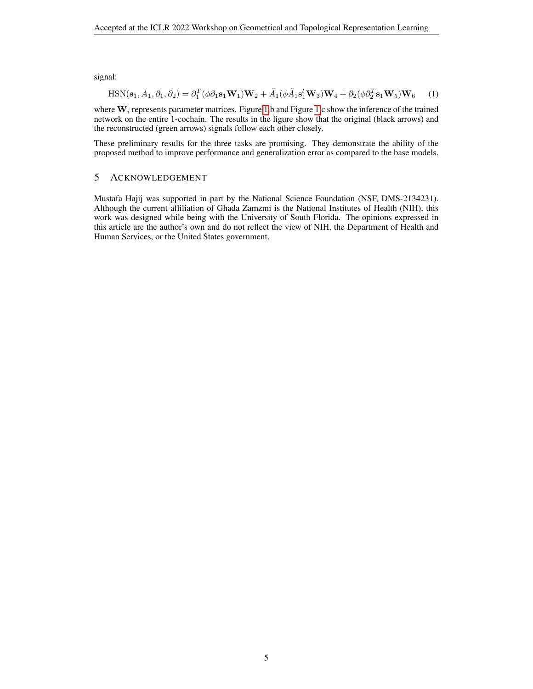signal:

$$
\text{HSN}(\mathbf{s}_1, A_1, \partial_1, \partial_2) = \partial_1^T (\phi \partial_1 \mathbf{s}_1 \mathbf{W}_1) \mathbf{W}_2 + \tilde{A}_1 (\phi \tilde{A}_1 \mathbf{s}_1^l \mathbf{W}_3) \mathbf{W}_4 + \partial_2 (\phi \partial_2^T \mathbf{s}_1 \mathbf{W}_5) \mathbf{W}_6 \tag{1}
$$

where  $W_i$  represents parameter matrices. Figure [1.](#page-3-1)b and Figure 1.c show the inference of the trained network on the entire 1-cochain. The results in the figure show that the original (black arrows) and the reconstructed (green arrows) signals follow each other closely.

These preliminary results for the three tasks are promising. They demonstrate the ability of the proposed method to improve performance and generalization error as compared to the base models.

## 5 ACKNOWLEDGEMENT

Mustafa Hajij was supported in part by the National Science Foundation (NSF, DMS-2134231). Although the current affiliation of Ghada Zamzmi is the National Institutes of Health (NIH), this work was designed while being with the University of South Florida. The opinions expressed in this article are the author's own and do not reflect the view of NIH, the Department of Health and Human Services, or the United States government.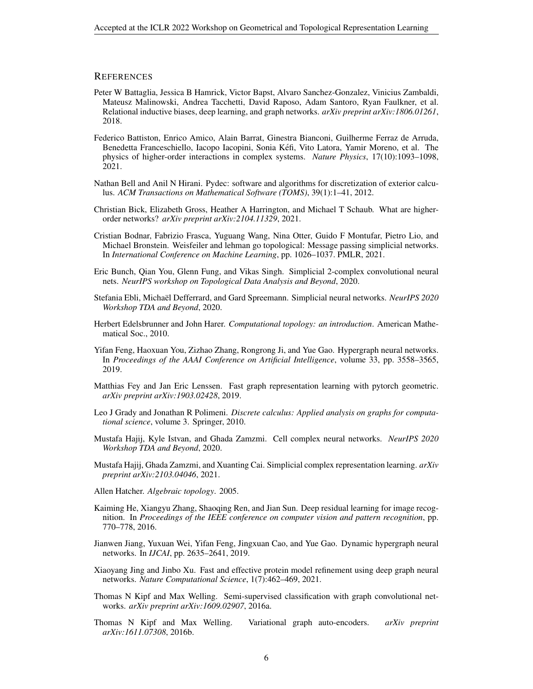#### **REFERENCES**

- <span id="page-5-10"></span>Peter W Battaglia, Jessica B Hamrick, Victor Bapst, Alvaro Sanchez-Gonzalez, Vinicius Zambaldi, Mateusz Malinowski, Andrea Tacchetti, David Raposo, Adam Santoro, Ryan Faulkner, et al. Relational inductive biases, deep learning, and graph networks. *arXiv preprint arXiv:1806.01261*, 2018.
- <span id="page-5-6"></span>Federico Battiston, Enrico Amico, Alain Barrat, Ginestra Bianconi, Guilherme Ferraz de Arruda, Benedetta Franceschiello, Iacopo Iacopini, Sonia Kefi, Vito Latora, Yamir Moreno, et al. The ´ physics of higher-order interactions in complex systems. *Nature Physics*, 17(10):1093–1098, 2021.
- <span id="page-5-18"></span>Nathan Bell and Anil N Hirani. Pydec: software and algorithms for discretization of exterior calculus. *ACM Transactions on Mathematical Software (TOMS)*, 39(1):1–41, 2012.
- <span id="page-5-7"></span>Christian Bick, Elizabeth Gross, Heather A Harrington, and Michael T Schaub. What are higherorder networks? *arXiv preprint arXiv:2104.11329*, 2021.
- <span id="page-5-12"></span>Cristian Bodnar, Fabrizio Frasca, Yuguang Wang, Nina Otter, Guido F Montufar, Pietro Lio, and Michael Bronstein. Weisfeiler and lehman go topological: Message passing simplicial networks. In *International Conference on Machine Learning*, pp. 1026–1037. PMLR, 2021.
- <span id="page-5-16"></span>Eric Bunch, Qian You, Glenn Fung, and Vikas Singh. Simplicial 2-complex convolutional neural nets. *NeurIPS workshop on Topological Data Analysis and Beyond*, 2020.
- <span id="page-5-0"></span>Stefania Ebli, Michaël Defferrard, and Gard Spreemann. Simplicial neural networks. *NeurIPS* 2020 *Workshop TDA and Beyond*, 2020.
- <span id="page-5-4"></span>Herbert Edelsbrunner and John Harer. *Computational topology: an introduction*. American Mathematical Soc., 2010.
- <span id="page-5-3"></span>Yifan Feng, Haoxuan You, Zizhao Zhang, Rongrong Ji, and Yue Gao. Hypergraph neural networks. In *Proceedings of the AAAI Conference on Artificial Intelligence*, volume 33, pp. 3558–3565, 2019.
- <span id="page-5-9"></span>Matthias Fey and Jan Eric Lenssen. Fast graph representation learning with pytorch geometric. *arXiv preprint arXiv:1903.02428*, 2019.
- <span id="page-5-15"></span>Leo J Grady and Jonathan R Polimeni. *Discrete calculus: Applied analysis on graphs for computational science*, volume 3. Springer, 2010.
- <span id="page-5-2"></span>Mustafa Hajij, Kyle Istvan, and Ghada Zamzmi. Cell complex neural networks. *NeurIPS 2020 Workshop TDA and Beyond*, 2020.
- <span id="page-5-1"></span>Mustafa Hajij, Ghada Zamzmi, and Xuanting Cai. Simplicial complex representation learning. *arXiv preprint arXiv:2103.04046*, 2021.
- <span id="page-5-14"></span>Allen Hatcher. *Algebraic topology*. 2005.
- <span id="page-5-13"></span>Kaiming He, Xiangyu Zhang, Shaoqing Ren, and Jian Sun. Deep residual learning for image recognition. In *Proceedings of the IEEE conference on computer vision and pattern recognition*, pp. 770–778, 2016.
- <span id="page-5-8"></span>Jianwen Jiang, Yuxuan Wei, Yifan Feng, Jingxuan Cao, and Yue Gao. Dynamic hypergraph neural networks. In *IJCAI*, pp. 2635–2641, 2019.
- <span id="page-5-5"></span>Xiaoyang Jing and Jinbo Xu. Fast and effective protein model refinement using deep graph neural networks. *Nature Computational Science*, 1(7):462–469, 2021.
- <span id="page-5-11"></span>Thomas N Kipf and Max Welling. Semi-supervised classification with graph convolutional networks. *arXiv preprint arXiv:1609.02907*, 2016a.
- <span id="page-5-17"></span>Thomas N Kipf and Max Welling. Variational graph auto-encoders. *arXiv preprint arXiv:1611.07308*, 2016b.